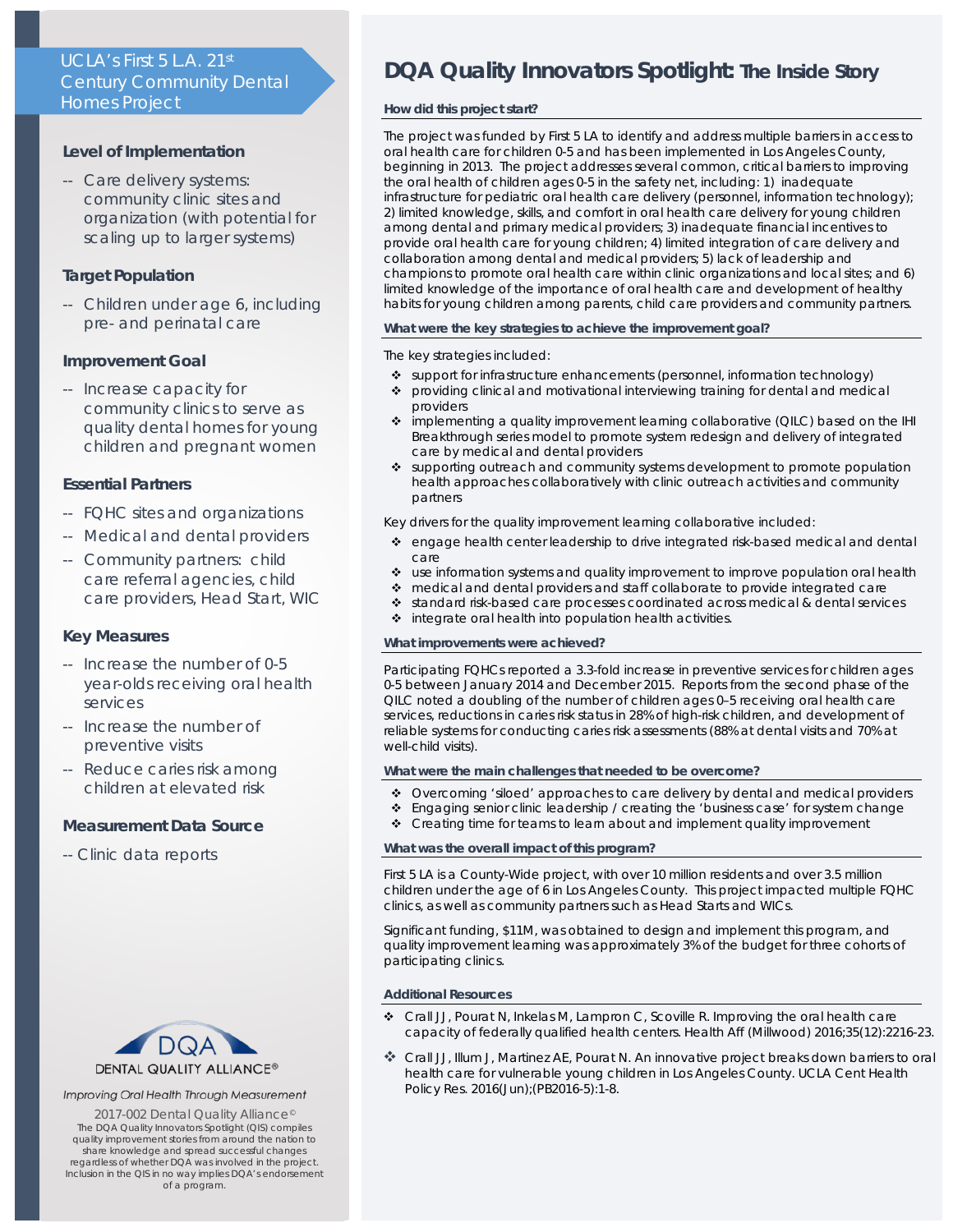# UCLA's First 5 L.A. 21st Century Community Dental Homes Project

## **Level of Implementation**

-- Care delivery systems: community clinic sites and organization (with potential for scaling up to larger systems)

# **Target Population**

-- Children under age 6, including pre- and perinatal care

## **Improvement Goal**

-- Increase capacity for community clinics to serve as quality dental homes for young children and pregnant women

## **Essential Partners**

- -- FQHC sites and organizations
- -- Medical and dental providers
- -- Community partners: child care referral agencies, child care providers, Head Start, WIC

## **Key Measures**

- -- Increase the number of 0-5 year-olds receiving oral health services
- -- Increase the number of preventive visits
- -- Reduce caries risk among children at elevated risk

# **Measurement Data Source**

-- Clinic data reports



### Improving Oral Health Through Measurement

2017-002 Dental Quality Alliance<sup>®</sup> The *DQA Quality Innovators Spotlight* (QIS) compiles quality improvement stories from around the nation to share knowledge and spread successful changes regardless of whether DQA was involved in the project. Inclusion in the QIS in no way implies DQA's endorsement of a program.

# **DQA Quality Innovators Spotlight:** *The Inside Story*

## **How did this project start?**

The project was funded by First 5 LA to identify and address multiple barriers in access to oral health care for children 0-5 and has been implemented in Los Angeles County, beginning in 2013. The project addresses several common, critical barriers to improving the oral health of children ages 0-5 in the safety net, including: 1) inadequate infrastructure for pediatric oral health care delivery (personnel, information technology); 2) limited knowledge, skills, and comfort in oral health care delivery for young children among dental and primary medical providers; 3) inadequate financial incentives to provide oral health care for young children; 4) limited integration of care delivery and collaboration among dental and medical providers; 5) lack of leadership and champions to promote oral health care within clinic organizations and local sites; and 6) limited knowledge of the importance of oral health care and development of healthy habits for young children among parents, child care providers and community partners.

#### **What were the key strategies to achieve the improvement goal?**

## The key strategies included:

- \* support for infrastructure enhancements (personnel, information technology)
- providing clinical and motivational interviewing training for dental and medical providers
- implementing a quality improvement learning collaborative (QILC) based on the IHI Breakthrough series model to promote system redesign and delivery of integrated care by medical and dental providers
- \* supporting outreach and community systems development to promote population health approaches collaboratively with clinic outreach activities and community partners

Key drivers for the quality improvement learning collaborative included:

- engage health center leadership to drive integrated risk-based medical and dental care
- use information systems and quality improvement to improve population oral health
- medical and dental providers and staff collaborate to provide integrated care
- standard risk-based care processes coordinated across medical & dental services
- $\div$  integrate oral health into population health activities.

## **What improvements were achieved?**

Participating FQHCs reported a 3.3-fold increase in preventive services for children ages 0-5 between January 2014 and December 2015. Reports from the second phase of the QILC noted a doubling of the number of children ages 0–5 receiving oral health care services, reductions in caries risk status in 28% of high-risk children, and development of reliable systems for conducting caries risk assessments (88% at dental visits and 70% at well-child visits).

#### **What were the main challenges that needed to be overcome?**

- \* Overcoming 'siloed' approaches to care delivery by dental and medical providers
- Engaging senior clinic leadership / creating the 'business case' for system change
- \* Creating time for teams to learn about and implement quality improvement

#### **What was the overall impact of this program?**

First 5 LA is a County-Wide project, with over 10 million residents and over 3.5 million children under the age of 6 in Los Angeles County. This project impacted multiple FQHC clinics, as well as community partners such as Head Starts and WICs.

Significant funding, \$11M, was obtained to design and implement this program, and quality improvement learning was approximately 3% of the budget for three cohorts of participating clinics.

#### **Additional Resources**

- Crall JJ, Pourat N, Inkelas M, Lampron C, Scoville R. Improving the oral health care capacity of federally qualified health centers. Health Aff (Millwood) 2016;35(12):2216-23.
- Crall JJ, Illum J, Martinez AE, Pourat N. An innovative project breaks down barriers to oral health care for vulnerable young children in Los Angeles County. UCLA Cent Health Policy Res. 2016(Jun);(PB2016-5):1-8.